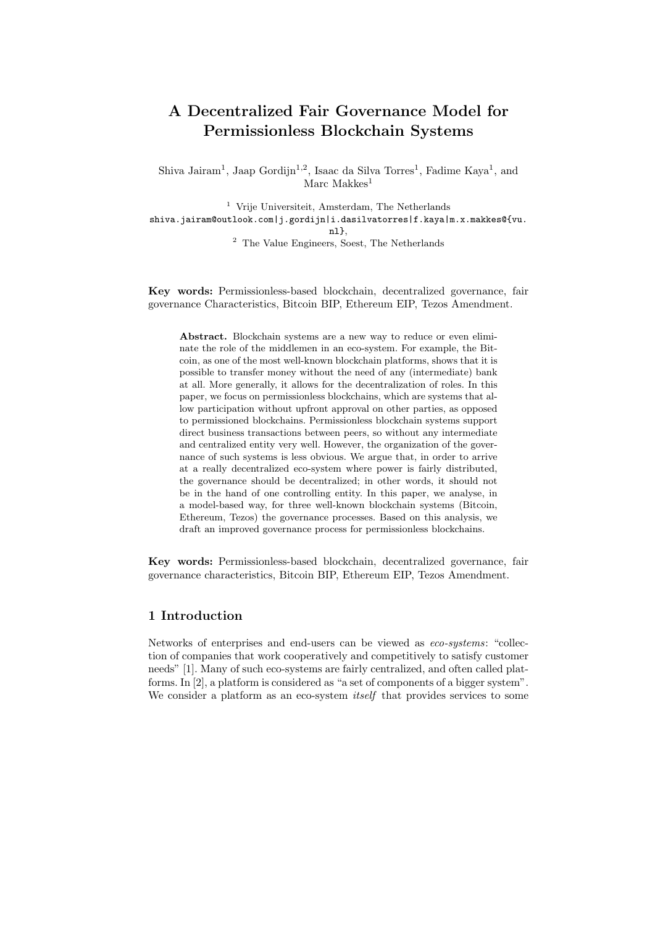# A Decentralized Fair Governance Model for Permissionless Blockchain Systems

Shiva Jairam<sup>1</sup>, Jaap Gordijn<sup>1,2</sup>, Isaac da Silva Torres<sup>1</sup>, Fadime Kaya<sup>1</sup>, and Marc Makkes<sup>1</sup>

<sup>1</sup> Vrije Universiteit, Amsterdam, The Netherlands shiva.jairam@outlook.com|j.gordijn|i.dasilvatorres|f.kaya|m.x.makkes@{vu. nl}, <sup>2</sup> The Value Engineers, Soest, The Netherlands

Key words: Permissionless-based blockchain, decentralized governance, fair governance Characteristics, Bitcoin BIP, Ethereum EIP, Tezos Amendment.

Abstract. Blockchain systems are a new way to reduce or even eliminate the role of the middlemen in an eco-system. For example, the Bitcoin, as one of the most well-known blockchain platforms, shows that it is possible to transfer money without the need of any (intermediate) bank at all. More generally, it allows for the decentralization of roles. In this paper, we focus on permissionless blockchains, which are systems that allow participation without upfront approval on other parties, as opposed to permissioned blockchains. Permissionless blockchain systems support direct business transactions between peers, so without any intermediate and centralized entity very well. However, the organization of the governance of such systems is less obvious. We argue that, in order to arrive at a really decentralized eco-system where power is fairly distributed, the governance should be decentralized; in other words, it should not be in the hand of one controlling entity. In this paper, we analyse, in a model-based way, for three well-known blockchain systems (Bitcoin, Ethereum, Tezos) the governance processes. Based on this analysis, we draft an improved governance process for permissionless blockchains.

Key words: Permissionless-based blockchain, decentralized governance, fair governance characteristics, Bitcoin BIP, Ethereum EIP, Tezos Amendment.

## 1 Introduction

Networks of enterprises and end-users can be viewed as eco-systems: "collection of companies that work cooperatively and competitively to satisfy customer needs" [1]. Many of such eco-systems are fairly centralized, and often called platforms. In [2], a platform is considered as "a set of components of a bigger system". We consider a platform as an eco-system *itself* that provides services to some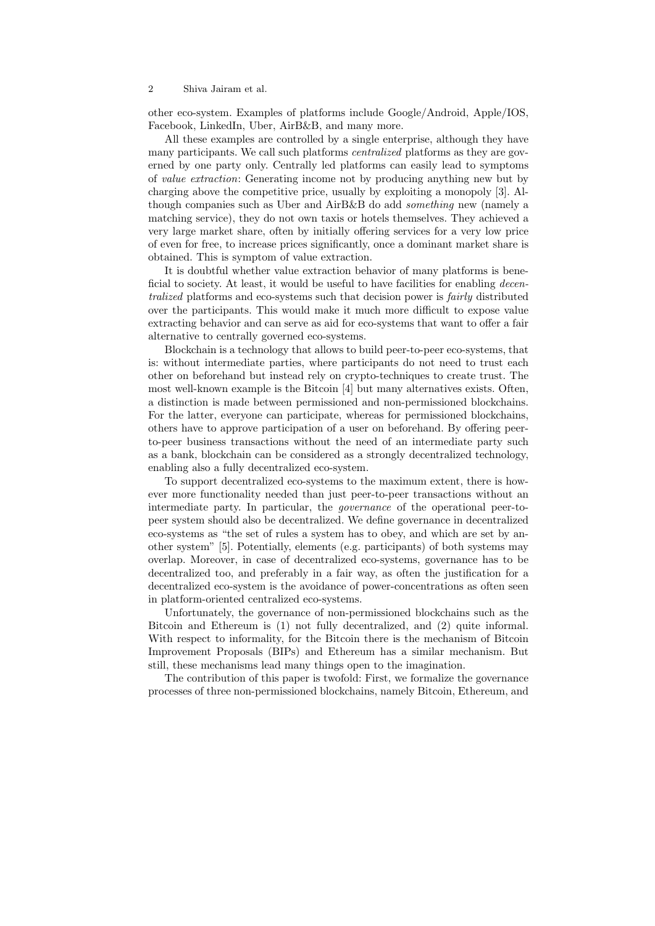#### 2 Shiva Jairam et al.

other eco-system. Examples of platforms include Google/Android, Apple/IOS, Facebook, LinkedIn, Uber, AirB&B, and many more.

All these examples are controlled by a single enterprise, although they have many participants. We call such platforms centralized platforms as they are governed by one party only. Centrally led platforms can easily lead to symptoms of value extraction: Generating income not by producing anything new but by charging above the competitive price, usually by exploiting a monopoly [3]. Although companies such as Uber and AirB&B do add something new (namely a matching service), they do not own taxis or hotels themselves. They achieved a very large market share, often by initially offering services for a very low price of even for free, to increase prices significantly, once a dominant market share is obtained. This is symptom of value extraction.

It is doubtful whether value extraction behavior of many platforms is beneficial to society. At least, it would be useful to have facilities for enabling *decen*tralized platforms and eco-systems such that decision power is fairly distributed over the participants. This would make it much more difficult to expose value extracting behavior and can serve as aid for eco-systems that want to offer a fair alternative to centrally governed eco-systems.

Blockchain is a technology that allows to build peer-to-peer eco-systems, that is: without intermediate parties, where participants do not need to trust each other on beforehand but instead rely on crypto-techniques to create trust. The most well-known example is the Bitcoin [4] but many alternatives exists. Often, a distinction is made between permissioned and non-permissioned blockchains. For the latter, everyone can participate, whereas for permissioned blockchains, others have to approve participation of a user on beforehand. By offering peerto-peer business transactions without the need of an intermediate party such as a bank, blockchain can be considered as a strongly decentralized technology, enabling also a fully decentralized eco-system.

To support decentralized eco-systems to the maximum extent, there is however more functionality needed than just peer-to-peer transactions without an intermediate party. In particular, the governance of the operational peer-topeer system should also be decentralized. We define governance in decentralized eco-systems as "the set of rules a system has to obey, and which are set by another system" [5]. Potentially, elements (e.g. participants) of both systems may overlap. Moreover, in case of decentralized eco-systems, governance has to be decentralized too, and preferably in a fair way, as often the justification for a decentralized eco-system is the avoidance of power-concentrations as often seen in platform-oriented centralized eco-systems.

Unfortunately, the governance of non-permissioned blockchains such as the Bitcoin and Ethereum is (1) not fully decentralized, and (2) quite informal. With respect to informality, for the Bitcoin there is the mechanism of Bitcoin Improvement Proposals (BIPs) and Ethereum has a similar mechanism. But still, these mechanisms lead many things open to the imagination.

The contribution of this paper is twofold: First, we formalize the governance processes of three non-permissioned blockchains, namely Bitcoin, Ethereum, and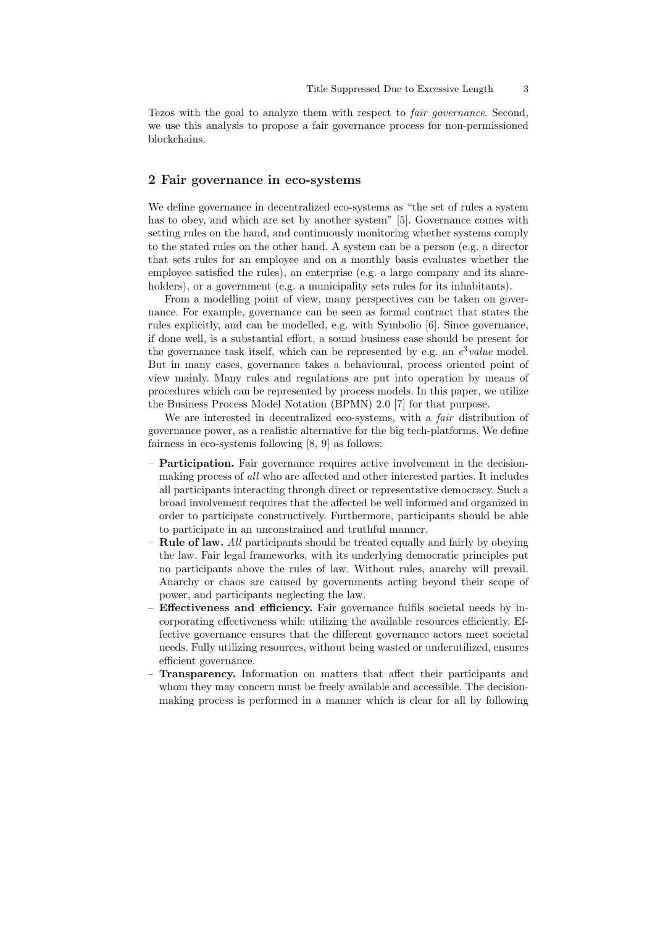Tezos with the goal to analyze them with respect to fair governance. Second, we use this analysis to propose a fair governance process for non-permissioned blockchains.

#### 2 Fair governance in eco-systems

We define governance in decentralized eco-systems as "the set of rules a system has to obey, and which are set by another system" [5]. Governance comes with setting rules on the hand, and continuously monitoring whether systems comply to the stated rules on the other hand. A system can be a person (e.g. a director that sets rules for an employee and on a monthly basis evaluates whether the employee satisfied the rules), an enterprise (e.g. a large company and its shareholders), or a government (e.g. a municipality sets rules for its inhabitants).

From a modelling point of view, many perspectives can be taken on governance. For example, governance can be seen as formal contract that states the rules explicitly, and can be modelled, e.g. with Symbolio [6]. Since governance, if done well, is a substantial effort, a sound business case should be present for the governance task itself, which can be represented by e.g. an  $e^3$  value model. But in many cases, governance takes a behavioural, process oriented point of view mainly. Many rules and regulations are put into operation by means of procedures which can be represented by process models. In this paper, we utilize the Business Process Model Notation (BPMN) 2.0 [7] for that purpose.

We are interested in decentralized eco-systems, with a *fair* distribution of governance power, as a realistic alternative for the big tech-platforms. We define fairness in eco-systems following [8, 9] as follows:

- Participation. Fair governance requires active involvement in the decisionmaking process of all who are affected and other interested parties. It includes all participants interacting through direct or representative democracy. Such a broad involvement requires that the affected be well informed and organized in order to participate constructively. Furthermore, participants should be able to participate in an unconstrained and truthful manner.
- **Rule of law.** All participants should be treated equally and fairly by obeying the law. Fair legal frameworks, with its underlying democratic principles put no participants above the rules of law. Without rules, anarchy will prevail. Anarchy or chaos are caused by governments acting beyond their scope of power, and participants neglecting the law.
- Effectiveness and efficiency. Fair governance fulfils societal needs by incorporating effectiveness while utilizing the available resources efficiently. Effective governance ensures that the different governance actors meet societal needs. Fully utilizing resources, without being wasted or underutilized, ensures efficient governance.
- Transparency. Information on matters that affect their participants and whom they may concern must be freely available and accessible. The decisionmaking process is performed in a manner which is clear for all by following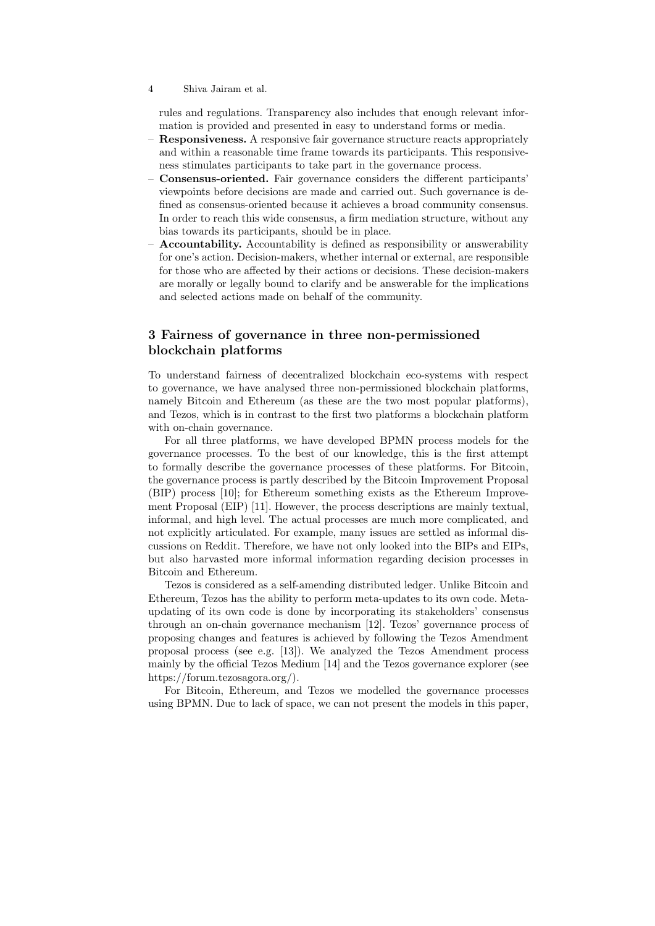rules and regulations. Transparency also includes that enough relevant information is provided and presented in easy to understand forms or media.

- **Responsiveness.** A responsive fair governance structure reacts appropriately and within a reasonable time frame towards its participants. This responsiveness stimulates participants to take part in the governance process.
- Consensus-oriented. Fair governance considers the different participants' viewpoints before decisions are made and carried out. Such governance is defined as consensus-oriented because it achieves a broad community consensus. In order to reach this wide consensus, a firm mediation structure, without any bias towards its participants, should be in place.
- Accountability. Accountability is defined as responsibility or answerability for one's action. Decision-makers, whether internal or external, are responsible for those who are affected by their actions or decisions. These decision-makers are morally or legally bound to clarify and be answerable for the implications and selected actions made on behalf of the community.

## 3 Fairness of governance in three non-permissioned blockchain platforms

To understand fairness of decentralized blockchain eco-systems with respect to governance, we have analysed three non-permissioned blockchain platforms, namely Bitcoin and Ethereum (as these are the two most popular platforms), and Tezos, which is in contrast to the first two platforms a blockchain platform with on-chain governance.

For all three platforms, we have developed BPMN process models for the governance processes. To the best of our knowledge, this is the first attempt to formally describe the governance processes of these platforms. For Bitcoin, the governance process is partly described by the Bitcoin Improvement Proposal (BIP) process [10]; for Ethereum something exists as the Ethereum Improvement Proposal (EIP) [11]. However, the process descriptions are mainly textual, informal, and high level. The actual processes are much more complicated, and not explicitly articulated. For example, many issues are settled as informal discussions on Reddit. Therefore, we have not only looked into the BIPs and EIPs, but also harvasted more informal information regarding decision processes in Bitcoin and Ethereum.

Tezos is considered as a self-amending distributed ledger. Unlike Bitcoin and Ethereum, Tezos has the ability to perform meta-updates to its own code. Metaupdating of its own code is done by incorporating its stakeholders' consensus through an on-chain governance mechanism [12]. Tezos' governance process of proposing changes and features is achieved by following the Tezos Amendment proposal process (see e.g. [13]). We analyzed the Tezos Amendment process mainly by the official Tezos Medium [14] and the Tezos governance explorer (see https://forum.tezosagora.org/).

For Bitcoin, Ethereum, and Tezos we modelled the governance processes using BPMN. Due to lack of space, we can not present the models in this paper,

<sup>4</sup> Shiva Jairam et al.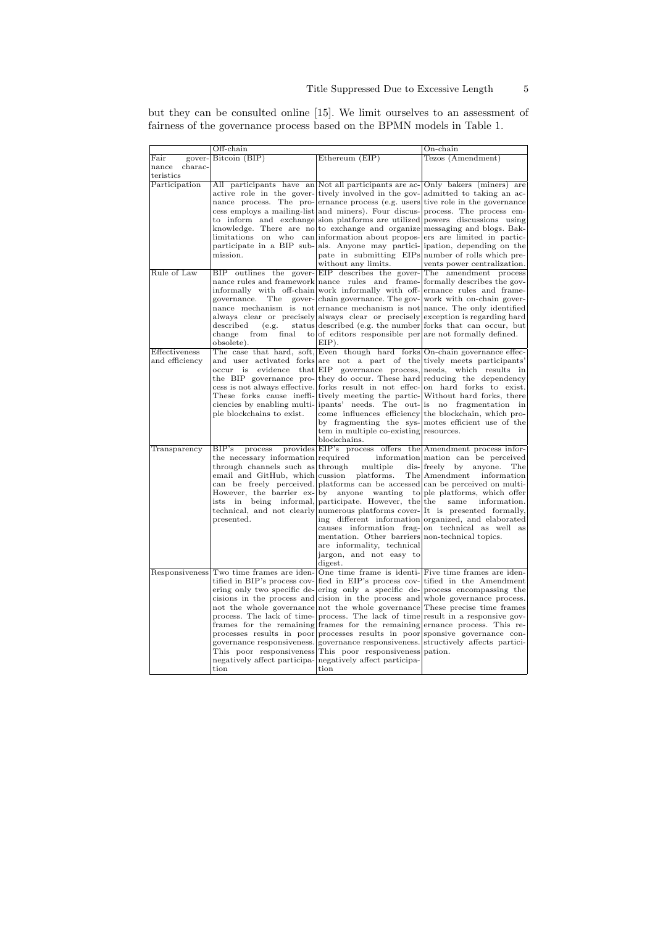but they can be consulted online [15]. We limit ourselves to an assessment of fairness of the governance process based on the BPMN models in Table 1.

|                  | $Off$ -chain                                                                                |                                                                           | $On$ -chain                                                                                                 |
|------------------|---------------------------------------------------------------------------------------------|---------------------------------------------------------------------------|-------------------------------------------------------------------------------------------------------------|
| Fair<br>gover-   | Bitcoin (BIP)                                                                               | Ethereum (EIP)                                                            | Tezos (Amendment)                                                                                           |
| charac-<br>nance |                                                                                             |                                                                           |                                                                                                             |
| teristics        |                                                                                             |                                                                           |                                                                                                             |
| Participation    |                                                                                             |                                                                           | All participants have an Not all participants are ac- Only bakers (miners) are                              |
|                  |                                                                                             |                                                                           | active role in the gover-tively involved in the gov- admitted to taking an ac-                              |
|                  |                                                                                             |                                                                           | nance process. The pro-ernance process (e.g. users tive role in the governance                              |
|                  |                                                                                             |                                                                           | cess employs a mailing-list and miners). Four discus-process. The process em-                               |
|                  |                                                                                             |                                                                           | to inform and exchange sion platforms are utilized powers discussions using                                 |
|                  |                                                                                             |                                                                           | knowledge. There are no to exchange and organize messaging and blogs. Bak-                                  |
|                  |                                                                                             |                                                                           | limitations on who can information about propos- ers are limited in partic-                                 |
|                  |                                                                                             |                                                                           | participate in a BIP sub- als. Anyone may partici- ipation, depending on the                                |
|                  | mission.                                                                                    | without any limits.                                                       | pate in submitting EIPs number of rolls which pre-<br>vents power centralization.                           |
| Rule of Law      |                                                                                             |                                                                           | BIP outlines the gover-EIP describes the gover-The amendment process                                        |
|                  |                                                                                             |                                                                           | nance rules and framework nance rules and frame-formally describes the gov-                                 |
|                  |                                                                                             |                                                                           | informally with off-chain work informally with off-ernance rules and frame-                                 |
|                  | governance.<br>The                                                                          |                                                                           | gover-chain governance. The gov-work with on-chain gover-                                                   |
|                  |                                                                                             |                                                                           | nance mechanism is not ernance mechanism is not nance. The only identified                                  |
|                  |                                                                                             |                                                                           | always clear or precisely always clear or precisely exception is regarding hard                             |
|                  | described<br>(e.g.                                                                          |                                                                           | status described (e.g. the number forks that can occur, but                                                 |
|                  | change<br>from<br>final                                                                     | to of editors responsible per are not formally defined.                   |                                                                                                             |
|                  | obsolete).                                                                                  | $EIP$ ).                                                                  |                                                                                                             |
| Effectiveness    |                                                                                             |                                                                           | The case that hard, soft, Even though hard forks On-chain governance effec-                                 |
| and efficiency   |                                                                                             | and user activated forks are not a part of the tively meets participants' |                                                                                                             |
|                  | occur<br>is                                                                                 |                                                                           | evidence that EIP governance process, needs, which results in                                               |
|                  |                                                                                             |                                                                           | the BIP governance pro- they do occur. These hard reducing the dependency                                   |
|                  |                                                                                             |                                                                           | cess is not always effective. forks result in not effec- on hard forks to exist.                            |
|                  |                                                                                             |                                                                           | These forks cause ineffi- tively meeting the partic- Without hard forks, there                              |
|                  |                                                                                             |                                                                           | ciencies by enabling multi- ipants' needs. The out- is no fragmentation in                                  |
|                  | ple blockchains to exist.                                                                   |                                                                           | come influences efficiency the blockchain, which pro-<br>by fragmenting the sys- motes efficient use of the |
|                  |                                                                                             | tem in multiple co-existing resources.                                    |                                                                                                             |
|                  |                                                                                             | blockchains.                                                              |                                                                                                             |
| Transparency     | BIP's<br>process                                                                            |                                                                           | provides EIP's process offers the Amendment process infor-                                                  |
|                  |                                                                                             |                                                                           | the necessary information required information mation can be perceived                                      |
|                  | through channels such as through                                                            | multiple                                                                  | dis-freely<br>anyone.<br>by<br>$_{\rm The}$                                                                 |
|                  | email and GitHub, which cussion platforms.                                                  |                                                                           | The Amendment<br>information                                                                                |
|                  |                                                                                             |                                                                           | can be freely perceived. platforms can be accessed can be perceived on multi-                               |
|                  |                                                                                             |                                                                           | However, the barrier ex- by anyone wanting to ple platforms, which offer                                    |
|                  |                                                                                             | ists in being informal, participate. However, the the                     | same<br>information.                                                                                        |
|                  |                                                                                             |                                                                           | technical, and not clearly numerous platforms cover-<br>It is presented formally,                           |
|                  | presented.                                                                                  |                                                                           | ing different information organized, and elaborated                                                         |
|                  |                                                                                             |                                                                           | causes information frag- on technical as well as                                                            |
|                  |                                                                                             | mentation. Other barriers non-technical topics.                           |                                                                                                             |
|                  |                                                                                             | are informality, technical                                                |                                                                                                             |
|                  |                                                                                             | jargon, and not easy to<br>digest.                                        |                                                                                                             |
|                  | Responsiveness Two time frames are iden-One time frame is identi-Five time frames are iden- |                                                                           |                                                                                                             |
|                  |                                                                                             |                                                                           | tified in BIP's process cov-<br>fied in EIP's process cov-<br>tified in the Amendment                       |
|                  |                                                                                             |                                                                           | ering only two specific de-ering only a specific de-process encompassing the                                |
|                  |                                                                                             |                                                                           | cisions in the process and cision in the process and whole governance process.                              |
|                  |                                                                                             |                                                                           | not the whole governance not the whole governance These precise time frames                                 |
|                  |                                                                                             |                                                                           | process. The lack of time-process. The lack of time result in a responsive gov-                             |
|                  |                                                                                             |                                                                           | frames for the remaining frames for the remaining ernance process. This re-                                 |
|                  |                                                                                             |                                                                           | processes results in poor processes results in poor sponsive governance con-                                |
|                  |                                                                                             |                                                                           | governance responsiveness. governance responsiveness. structively affects partici-                          |
|                  |                                                                                             | This poor responsiveness This poor responsiveness pation.                 |                                                                                                             |
|                  |                                                                                             | negatively affect participa- negatively affect participa-                 |                                                                                                             |
|                  | tion                                                                                        | tion                                                                      |                                                                                                             |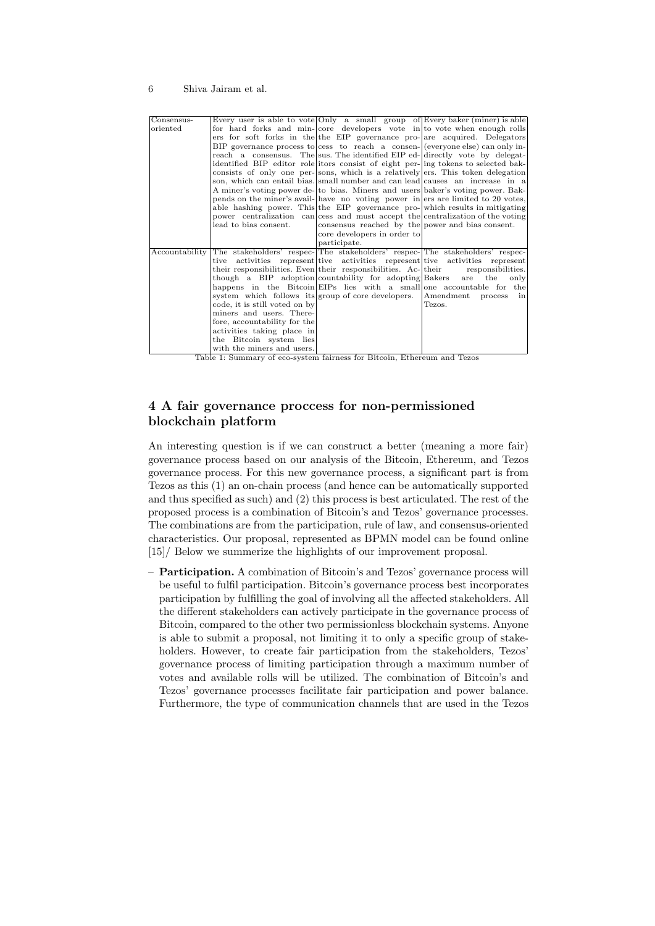#### 6 Shiva Jairam et al.

| Consensus-     |                                                                               | Every user is able to vote Only a small group of Every baker (miner) is able       |                         |
|----------------|-------------------------------------------------------------------------------|------------------------------------------------------------------------------------|-------------------------|
| oriented       |                                                                               | for hard forks and min-core developers vote in to vote when enough rolls           |                         |
|                |                                                                               | ers for soft forks in the the EIP governance pro- are acquired. Delegators         |                         |
|                |                                                                               | BIP governance process to cess to reach a consen- $ $ (everyone else) can only in- |                         |
|                |                                                                               | reach a consensus. The sus. The identified EIP ed- directly vote by delegat-       |                         |
|                |                                                                               | identified BIP editor role itors consist of eight per- ing tokens to selected bak- |                         |
|                |                                                                               | consists of only one per-sons, which is a relatively ers. This token delegation    |                         |
|                |                                                                               | son, which can entail bias. small number and can lead causes an increase in a      |                         |
|                |                                                                               | A miner's voting power de- to bias. Miners and users baker's voting power. Bak-    |                         |
|                |                                                                               | pends on the miner's avail- have no voting power in ers are limited to 20 votes,   |                         |
|                |                                                                               | able hashing power. This the EIP governance pro-which results in mitigating        |                         |
|                |                                                                               | power centralization can cess and must accept the centralization of the voting     |                         |
|                | lead to bias consent.                                                         | consensus reached by the power and bias consent.                                   |                         |
|                |                                                                               | core developers in order to                                                        |                         |
|                |                                                                               | participate.                                                                       |                         |
| Accountability | The stakeholders' respec- The stakeholders' respec- The stakeholders' respec- |                                                                                    |                         |
|                |                                                                               | tive activities represent tive activities represent tive activities represent      |                         |
|                |                                                                               | their responsibilities. Even their responsibilities. Ac- their responsibilities.   |                         |
|                |                                                                               | though a BIP adoption countability for adopting Bakers                             | are the only            |
|                |                                                                               | happens in the Bitcoin EIPs lies with a small one accountable for the              |                         |
|                | system which follows its group of core developers.                            |                                                                                    | Amendment<br>process in |
|                | code, it is still voted on by                                                 |                                                                                    | Tezos.                  |
|                | miners and users. There-                                                      |                                                                                    |                         |
|                | fore, accountability for the                                                  |                                                                                    |                         |
|                | activities taking place in                                                    |                                                                                    |                         |
|                | the Bitcoin system lies                                                       |                                                                                    |                         |
|                | with the miners and users.                                                    |                                                                                    |                         |
|                |                                                                               |                                                                                    |                         |

Table 1: Summary of eco-system fairness for Bitcoin, Ethereum and Tezos

# 4 A fair governance proccess for non-permissioned blockchain platform

An interesting question is if we can construct a better (meaning a more fair) governance process based on our analysis of the Bitcoin, Ethereum, and Tezos governance process. For this new governance process, a significant part is from Tezos as this (1) an on-chain process (and hence can be automatically supported and thus specified as such) and (2) this process is best articulated. The rest of the proposed process is a combination of Bitcoin's and Tezos' governance processes. The combinations are from the participation, rule of law, and consensus-oriented characteristics. Our proposal, represented as BPMN model can be found online [15]/ Below we summerize the highlights of our improvement proposal.

– Participation. A combination of Bitcoin's and Tezos' governance process will be useful to fulfil participation. Bitcoin's governance process best incorporates participation by fulfilling the goal of involving all the affected stakeholders. All the different stakeholders can actively participate in the governance process of Bitcoin, compared to the other two permissionless blockchain systems. Anyone is able to submit a proposal, not limiting it to only a specific group of stakeholders. However, to create fair participation from the stakeholders, Tezos' governance process of limiting participation through a maximum number of votes and available rolls will be utilized. The combination of Bitcoin's and Tezos' governance processes facilitate fair participation and power balance. Furthermore, the type of communication channels that are used in the Tezos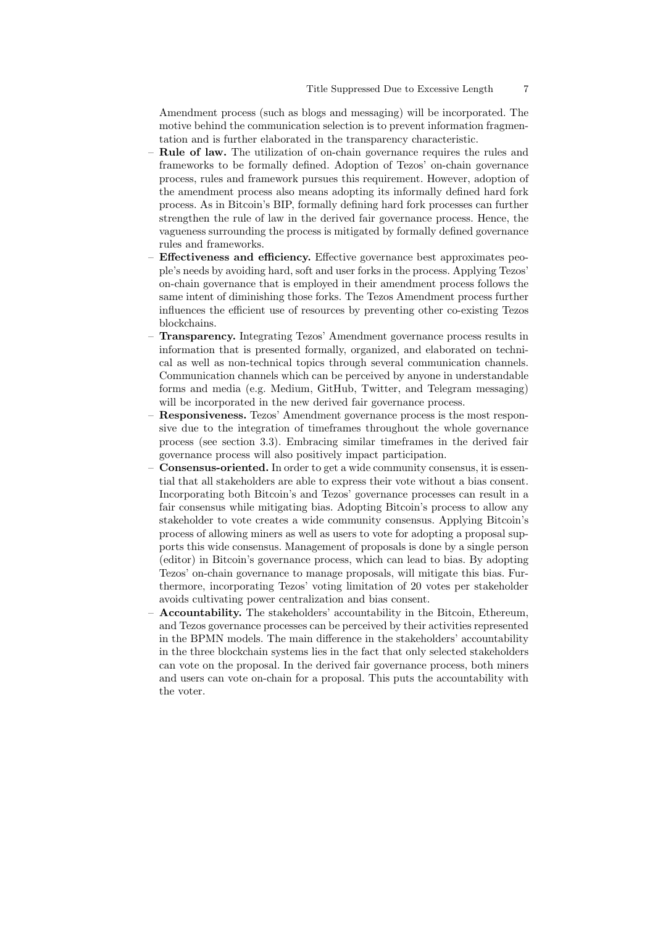Amendment process (such as blogs and messaging) will be incorporated. The motive behind the communication selection is to prevent information fragmentation and is further elaborated in the transparency characteristic.

- Rule of law. The utilization of on-chain governance requires the rules and frameworks to be formally defined. Adoption of Tezos' on-chain governance process, rules and framework pursues this requirement. However, adoption of the amendment process also means adopting its informally defined hard fork process. As in Bitcoin's BIP, formally defining hard fork processes can further strengthen the rule of law in the derived fair governance process. Hence, the vagueness surrounding the process is mitigated by formally defined governance rules and frameworks.
- Effectiveness and efficiency. Effective governance best approximates people's needs by avoiding hard, soft and user forks in the process. Applying Tezos' on-chain governance that is employed in their amendment process follows the same intent of diminishing those forks. The Tezos Amendment process further influences the efficient use of resources by preventing other co-existing Tezos blockchains.
- Transparency. Integrating Tezos' Amendment governance process results in information that is presented formally, organized, and elaborated on technical as well as non-technical topics through several communication channels. Communication channels which can be perceived by anyone in understandable forms and media (e.g. Medium, GitHub, Twitter, and Telegram messaging) will be incorporated in the new derived fair governance process.
- Responsiveness. Tezos' Amendment governance process is the most responsive due to the integration of timeframes throughout the whole governance process (see section 3.3). Embracing similar timeframes in the derived fair governance process will also positively impact participation.
- Consensus-oriented. In order to get a wide community consensus, it is essential that all stakeholders are able to express their vote without a bias consent. Incorporating both Bitcoin's and Tezos' governance processes can result in a fair consensus while mitigating bias. Adopting Bitcoin's process to allow any stakeholder to vote creates a wide community consensus. Applying Bitcoin's process of allowing miners as well as users to vote for adopting a proposal supports this wide consensus. Management of proposals is done by a single person (editor) in Bitcoin's governance process, which can lead to bias. By adopting Tezos' on-chain governance to manage proposals, will mitigate this bias. Furthermore, incorporating Tezos' voting limitation of 20 votes per stakeholder avoids cultivating power centralization and bias consent.
- Accountability. The stakeholders' accountability in the Bitcoin, Ethereum, and Tezos governance processes can be perceived by their activities represented in the BPMN models. The main difference in the stakeholders' accountability in the three blockchain systems lies in the fact that only selected stakeholders can vote on the proposal. In the derived fair governance process, both miners and users can vote on-chain for a proposal. This puts the accountability with the voter.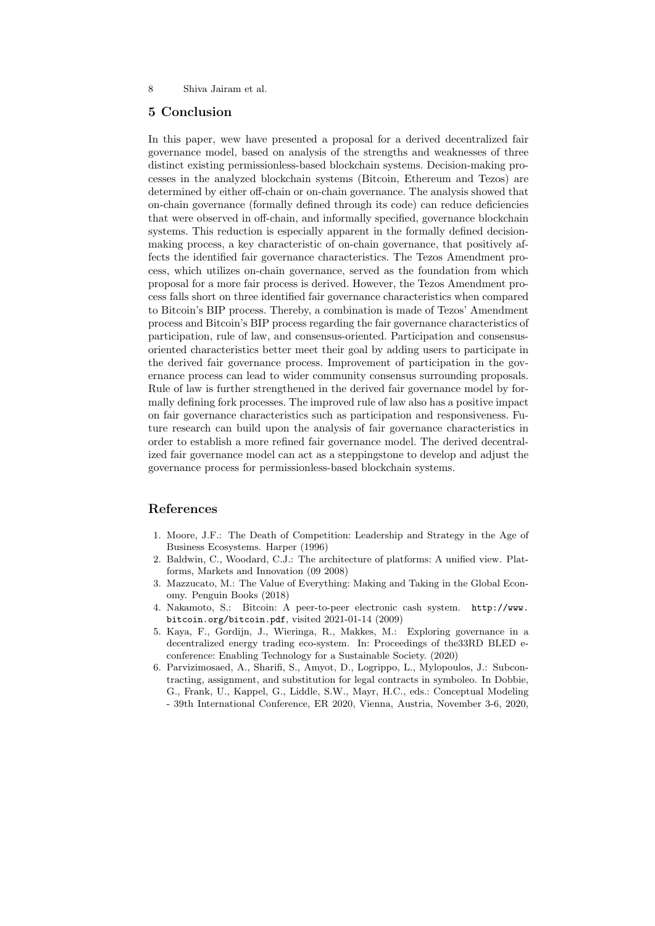#### 8 Shiva Jairam et al.

## 5 Conclusion

In this paper, wew have presented a proposal for a derived decentralized fair governance model, based on analysis of the strengths and weaknesses of three distinct existing permissionless-based blockchain systems. Decision-making processes in the analyzed blockchain systems (Bitcoin, Ethereum and Tezos) are determined by either off-chain or on-chain governance. The analysis showed that on-chain governance (formally defined through its code) can reduce deficiencies that were observed in off-chain, and informally specified, governance blockchain systems. This reduction is especially apparent in the formally defined decisionmaking process, a key characteristic of on-chain governance, that positively affects the identified fair governance characteristics. The Tezos Amendment process, which utilizes on-chain governance, served as the foundation from which proposal for a more fair process is derived. However, the Tezos Amendment process falls short on three identified fair governance characteristics when compared to Bitcoin's BIP process. Thereby, a combination is made of Tezos' Amendment process and Bitcoin's BIP process regarding the fair governance characteristics of participation, rule of law, and consensus-oriented. Participation and consensusoriented characteristics better meet their goal by adding users to participate in the derived fair governance process. Improvement of participation in the governance process can lead to wider community consensus surrounding proposals. Rule of law is further strengthened in the derived fair governance model by formally defining fork processes. The improved rule of law also has a positive impact on fair governance characteristics such as participation and responsiveness. Future research can build upon the analysis of fair governance characteristics in order to establish a more refined fair governance model. The derived decentralized fair governance model can act as a steppingstone to develop and adjust the governance process for permissionless-based blockchain systems.

#### References

- 1. Moore, J.F.: The Death of Competition: Leadership and Strategy in the Age of Business Ecosystems. Harper (1996)
- 2. Baldwin, C., Woodard, C.J.: The architecture of platforms: A unified view. Platforms, Markets and Innovation (09 2008)
- 3. Mazzucato, M.: The Value of Everything: Making and Taking in the Global Economy. Penguin Books (2018)
- 4. Nakamoto, S.: Bitcoin: A peer-to-peer electronic cash system. http://www. bitcoin.org/bitcoin.pdf, visited 2021-01-14 (2009)
- 5. Kaya, F., Gordijn, J., Wieringa, R., Makkes, M.: Exploring governance in a decentralized energy trading eco-system. In: Proceedings of the33RD BLED econference: Enabling Technology for a Sustainable Society. (2020)
- 6. Parvizimosaed, A., Sharifi, S., Amyot, D., Logrippo, L., Mylopoulos, J.: Subcontracting, assignment, and substitution for legal contracts in symboleo. In Dobbie, G., Frank, U., Kappel, G., Liddle, S.W., Mayr, H.C., eds.: Conceptual Modeling - 39th International Conference, ER 2020, Vienna, Austria, November 3-6, 2020,